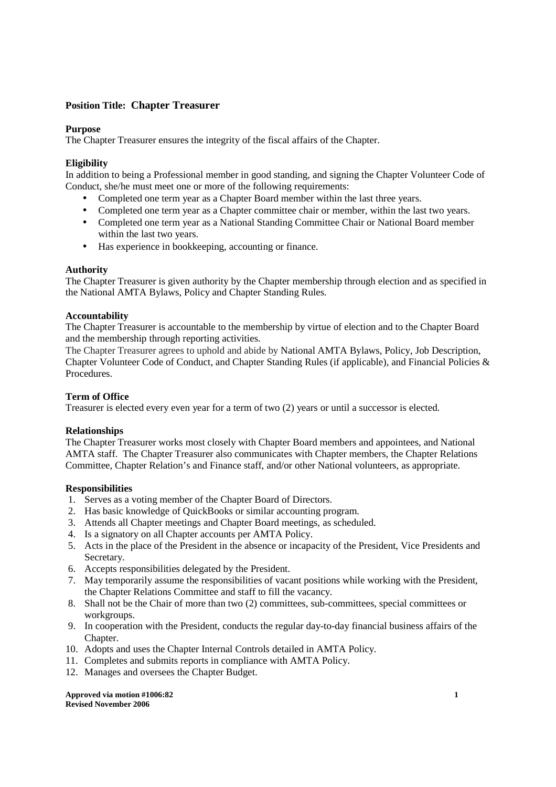# **Position Title: Chapter Treasurer**

#### **Purpose**

The Chapter Treasurer ensures the integrity of the fiscal affairs of the Chapter.

## **Eligibility**

In addition to being a Professional member in good standing, and signing the Chapter Volunteer Code of Conduct, she/he must meet one or more of the following requirements:

- Completed one term year as a Chapter Board member within the last three years.
- Completed one term year as a Chapter committee chair or member, within the last two years.
- Completed one term year as a National Standing Committee Chair or National Board member within the last two years.
- Has experience in bookkeeping, accounting or finance.

### **Authority**

The Chapter Treasurer is given authority by the Chapter membership through election and as specified in the National AMTA Bylaws, Policy and Chapter Standing Rules.

### **Accountability**

The Chapter Treasurer is accountable to the membership by virtue of election and to the Chapter Board and the membership through reporting activities.

The Chapter Treasurer agrees to uphold and abide by National AMTA Bylaws, Policy, Job Description, Chapter Volunteer Code of Conduct, and Chapter Standing Rules (if applicable), and Financial Policies & Procedures.

## **Term of Office**

Treasurer is elected every even year for a term of two (2) years or until a successor is elected.

### **Relationships**

The Chapter Treasurer works most closely with Chapter Board members and appointees, and National AMTA staff. The Chapter Treasurer also communicates with Chapter members, the Chapter Relations Committee, Chapter Relation's and Finance staff, and/or other National volunteers, as appropriate.

### **Responsibilities**

- 1. Serves as a voting member of the Chapter Board of Directors.
- 2. Has basic knowledge of QuickBooks or similar accounting program.
- 3. Attends all Chapter meetings and Chapter Board meetings, as scheduled.
- 4. Is a signatory on all Chapter accounts per AMTA Policy.
- 5. Acts in the place of the President in the absence or incapacity of the President, Vice Presidents and Secretary.
- 6. Accepts responsibilities delegated by the President.
- 7. May temporarily assume the responsibilities of vacant positions while working with the President, the Chapter Relations Committee and staff to fill the vacancy.
- 8. Shall not be the Chair of more than two (2) committees, sub-committees, special committees or workgroups.
- 9. In cooperation with the President, conducts the regular day-to-day financial business affairs of the Chapter.
- 10. Adopts and uses the Chapter Internal Controls detailed in AMTA Policy.
- 11. Completes and submits reports in compliance with AMTA Policy.
- 12. Manages and oversees the Chapter Budget.

**Approved via motion #1006:82** 1 **Revised November 2006**